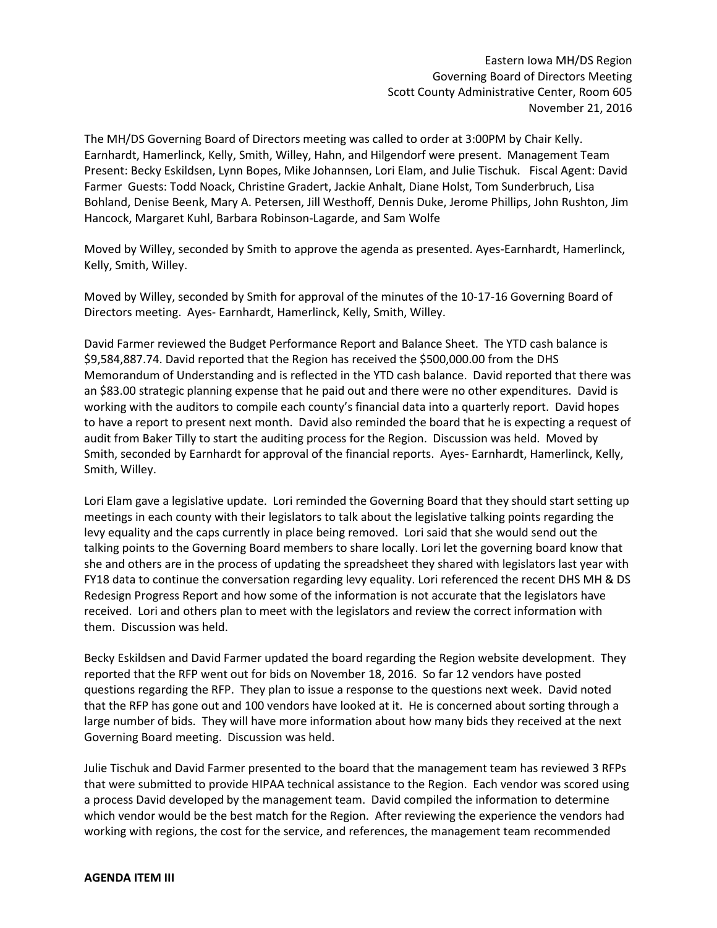Eastern Iowa MH/DS Region Governing Board of Directors Meeting Scott County Administrative Center, Room 605 November 21, 2016

The MH/DS Governing Board of Directors meeting was called to order at 3:00PM by Chair Kelly. Earnhardt, Hamerlinck, Kelly, Smith, Willey, Hahn, and Hilgendorf were present. Management Team Present: Becky Eskildsen, Lynn Bopes, Mike Johannsen, Lori Elam, and Julie Tischuk. Fiscal Agent: David Farmer Guests: Todd Noack, Christine Gradert, Jackie Anhalt, Diane Holst, Tom Sunderbruch, Lisa Bohland, Denise Beenk, Mary A. Petersen, Jill Westhoff, Dennis Duke, Jerome Phillips, John Rushton, Jim Hancock, Margaret Kuhl, Barbara Robinson-Lagarde, and Sam Wolfe

Moved by Willey, seconded by Smith to approve the agenda as presented. Ayes-Earnhardt, Hamerlinck, Kelly, Smith, Willey.

Moved by Willey, seconded by Smith for approval of the minutes of the 10-17-16 Governing Board of Directors meeting. Ayes- Earnhardt, Hamerlinck, Kelly, Smith, Willey.

David Farmer reviewed the Budget Performance Report and Balance Sheet. The YTD cash balance is \$9,584,887.74. David reported that the Region has received the \$500,000.00 from the DHS Memorandum of Understanding and is reflected in the YTD cash balance. David reported that there was an \$83.00 strategic planning expense that he paid out and there were no other expenditures. David is working with the auditors to compile each county's financial data into a quarterly report. David hopes to have a report to present next month. David also reminded the board that he is expecting a request of audit from Baker Tilly to start the auditing process for the Region. Discussion was held. Moved by Smith, seconded by Earnhardt for approval of the financial reports. Ayes- Earnhardt, Hamerlinck, Kelly, Smith, Willey.

Lori Elam gave a legislative update. Lori reminded the Governing Board that they should start setting up meetings in each county with their legislators to talk about the legislative talking points regarding the levy equality and the caps currently in place being removed. Lori said that she would send out the talking points to the Governing Board members to share locally. Lori let the governing board know that she and others are in the process of updating the spreadsheet they shared with legislators last year with FY18 data to continue the conversation regarding levy equality. Lori referenced the recent DHS MH & DS Redesign Progress Report and how some of the information is not accurate that the legislators have received. Lori and others plan to meet with the legislators and review the correct information with them. Discussion was held.

Becky Eskildsen and David Farmer updated the board regarding the Region website development. They reported that the RFP went out for bids on November 18, 2016. So far 12 vendors have posted questions regarding the RFP. They plan to issue a response to the questions next week. David noted that the RFP has gone out and 100 vendors have looked at it. He is concerned about sorting through a large number of bids. They will have more information about how many bids they received at the next Governing Board meeting. Discussion was held.

Julie Tischuk and David Farmer presented to the board that the management team has reviewed 3 RFPs that were submitted to provide HIPAA technical assistance to the Region. Each vendor was scored using a process David developed by the management team. David compiled the information to determine which vendor would be the best match for the Region. After reviewing the experience the vendors had working with regions, the cost for the service, and references, the management team recommended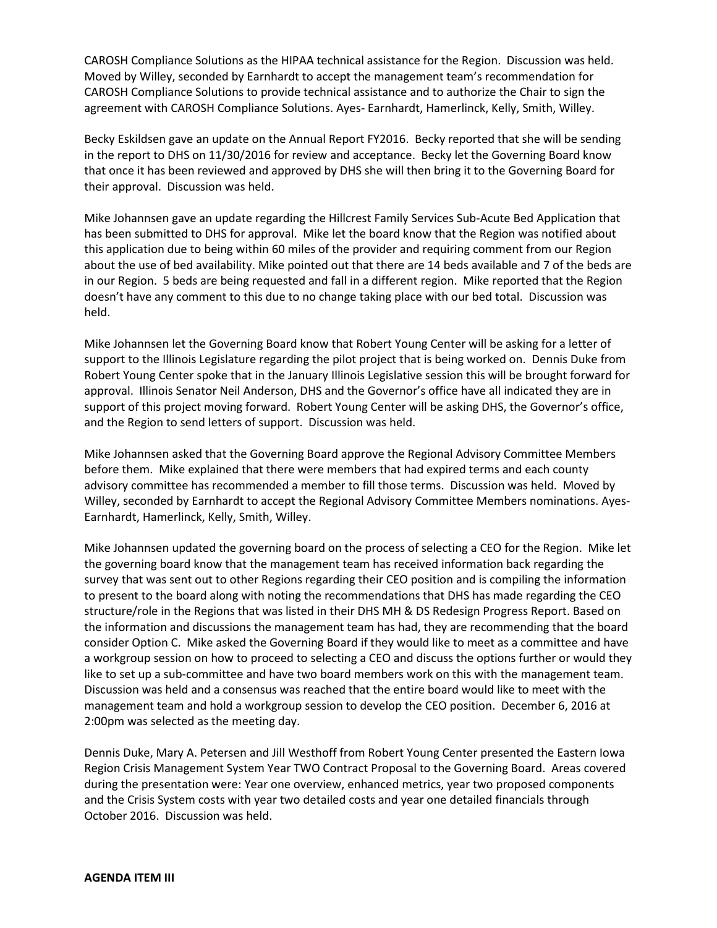CAROSH Compliance Solutions as the HIPAA technical assistance for the Region. Discussion was held. Moved by Willey, seconded by Earnhardt to accept the management team's recommendation for CAROSH Compliance Solutions to provide technical assistance and to authorize the Chair to sign the agreement with CAROSH Compliance Solutions. Ayes- Earnhardt, Hamerlinck, Kelly, Smith, Willey.

Becky Eskildsen gave an update on the Annual Report FY2016. Becky reported that she will be sending in the report to DHS on 11/30/2016 for review and acceptance. Becky let the Governing Board know that once it has been reviewed and approved by DHS she will then bring it to the Governing Board for their approval. Discussion was held.

Mike Johannsen gave an update regarding the Hillcrest Family Services Sub-Acute Bed Application that has been submitted to DHS for approval. Mike let the board know that the Region was notified about this application due to being within 60 miles of the provider and requiring comment from our Region about the use of bed availability. Mike pointed out that there are 14 beds available and 7 of the beds are in our Region. 5 beds are being requested and fall in a different region. Mike reported that the Region doesn't have any comment to this due to no change taking place with our bed total. Discussion was held.

Mike Johannsen let the Governing Board know that Robert Young Center will be asking for a letter of support to the Illinois Legislature regarding the pilot project that is being worked on. Dennis Duke from Robert Young Center spoke that in the January Illinois Legislative session this will be brought forward for approval. Illinois Senator Neil Anderson, DHS and the Governor's office have all indicated they are in support of this project moving forward. Robert Young Center will be asking DHS, the Governor's office, and the Region to send letters of support. Discussion was held.

Mike Johannsen asked that the Governing Board approve the Regional Advisory Committee Members before them. Mike explained that there were members that had expired terms and each county advisory committee has recommended a member to fill those terms. Discussion was held. Moved by Willey, seconded by Earnhardt to accept the Regional Advisory Committee Members nominations. Ayes-Earnhardt, Hamerlinck, Kelly, Smith, Willey.

Mike Johannsen updated the governing board on the process of selecting a CEO for the Region. Mike let the governing board know that the management team has received information back regarding the survey that was sent out to other Regions regarding their CEO position and is compiling the information to present to the board along with noting the recommendations that DHS has made regarding the CEO structure/role in the Regions that was listed in their DHS MH & DS Redesign Progress Report. Based on the information and discussions the management team has had, they are recommending that the board consider Option C. Mike asked the Governing Board if they would like to meet as a committee and have a workgroup session on how to proceed to selecting a CEO and discuss the options further or would they like to set up a sub-committee and have two board members work on this with the management team. Discussion was held and a consensus was reached that the entire board would like to meet with the management team and hold a workgroup session to develop the CEO position. December 6, 2016 at 2:00pm was selected as the meeting day.

Dennis Duke, Mary A. Petersen and Jill Westhoff from Robert Young Center presented the Eastern Iowa Region Crisis Management System Year TWO Contract Proposal to the Governing Board. Areas covered during the presentation were: Year one overview, enhanced metrics, year two proposed components and the Crisis System costs with year two detailed costs and year one detailed financials through October 2016. Discussion was held.